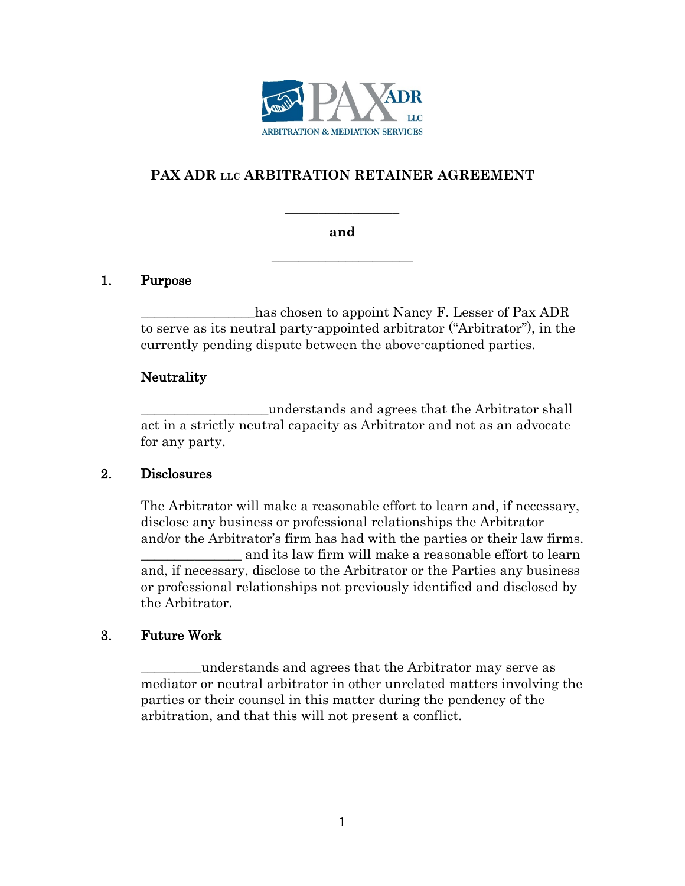

# **PAX ADR LLC ARBITRATION RETAINER AGREEMENT**

#### **and**

**\_\_\_\_\_\_\_\_\_\_\_\_\_\_\_\_\_\_\_\_\_**

**\_\_\_\_\_\_\_\_\_\_\_\_\_\_\_\_\_**

### 1. Purpose

has chosen to appoint Nancy F. Lesser of Pax ADR to serve as its neutral party-appointed arbitrator ("Arbitrator"), in the currently pending dispute between the above-captioned parties.

### Neutrality

\_\_\_\_\_\_\_\_\_\_\_\_\_\_\_\_\_\_\_understands and agrees that the Arbitrator shall act in a strictly neutral capacity as Arbitrator and not as an advocate for any party.

### 2. Disclosures

The Arbitrator will make a reasonable effort to learn and, if necessary, disclose any business or professional relationships the Arbitrator and/or the Arbitrator's firm has had with the parties or their law firms. \_\_\_\_\_\_\_\_\_\_\_\_\_\_\_ and its law firm will make a reasonable effort to learn and, if necessary, disclose to the Arbitrator or the Parties any business or professional relationships not previously identified and disclosed by the Arbitrator.

### 3. Future Work

\_\_\_\_\_\_\_\_\_understands and agrees that the Arbitrator may serve as mediator or neutral arbitrator in other unrelated matters involving the parties or their counsel in this matter during the pendency of the arbitration, and that this will not present a conflict.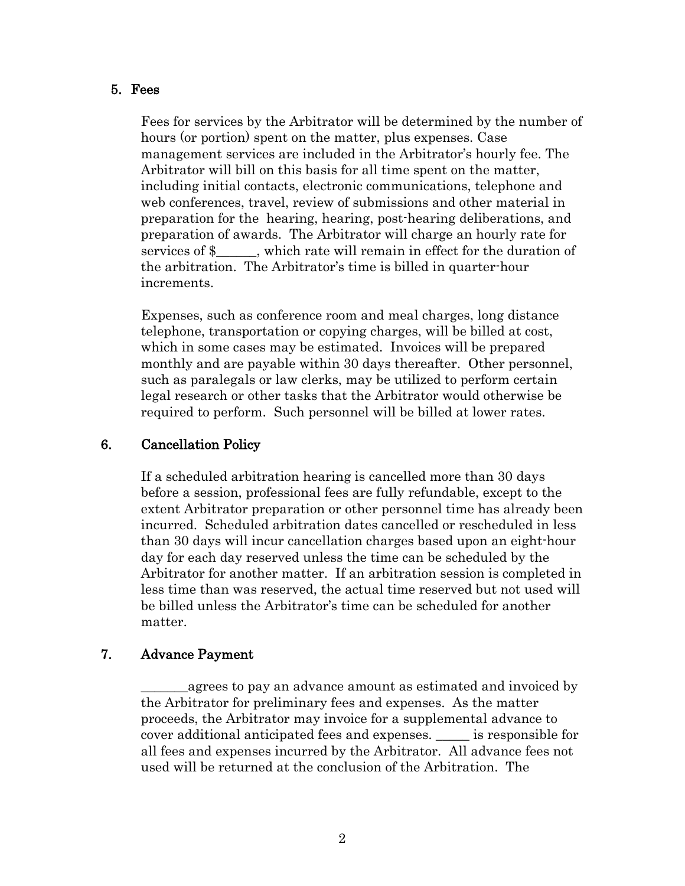#### 5. Fees

Fees for services by the Arbitrator will be determined by the number of hours (or portion) spent on the matter, plus expenses. Case management services are included in the Arbitrator's hourly fee. The Arbitrator will bill on this basis for all time spent on the matter, including initial contacts, electronic communications, telephone and web conferences, travel, review of submissions and other material in preparation for the hearing, hearing, post-hearing deliberations, and preparation of awards. The Arbitrator will charge an hourly rate for services of  $\frac{1}{2}$ , which rate will remain in effect for the duration of the arbitration. The Arbitrator's time is billed in quarter-hour increments.

Expenses, such as conference room and meal charges, long distance telephone, transportation or copying charges, will be billed at cost, which in some cases may be estimated. Invoices will be prepared monthly and are payable within 30 days thereafter. Other personnel, such as paralegals or law clerks, may be utilized to perform certain legal research or other tasks that the Arbitrator would otherwise be required to perform. Such personnel will be billed at lower rates.

### 6. Cancellation Policy

If a scheduled arbitration hearing is cancelled more than 30 days before a session, professional fees are fully refundable, except to the extent Arbitrator preparation or other personnel time has already been incurred. Scheduled arbitration dates cancelled or rescheduled in less than 30 days will incur cancellation charges based upon an eight-hour day for each day reserved unless the time can be scheduled by the Arbitrator for another matter. If an arbitration session is completed in less time than was reserved, the actual time reserved but not used will be billed unless the Arbitrator's time can be scheduled for another matter.

### 7. Advance Payment

agrees to pay an advance amount as estimated and invoiced by the Arbitrator for preliminary fees and expenses. As the matter proceeds, the Arbitrator may invoice for a supplemental advance to cover additional anticipated fees and expenses. \_\_\_\_\_ is responsible for all fees and expenses incurred by the Arbitrator. All advance fees not used will be returned at the conclusion of the Arbitration. The